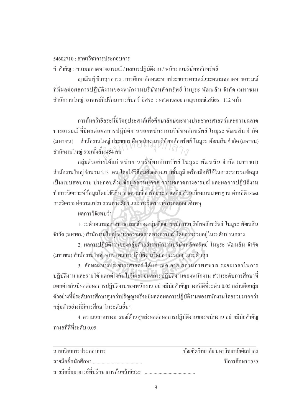## $54602710 \cdot \pi$ าขาวิชาการประกอบการ

คำสำคัญ : ความฉลาดทางอารมณ์ / ผลการปฏิบัติงาน / พนักงานบริษัทหลักทรัพย์

ิ ฌาณินท์ ชีวาสขถาวร : การศึกษาลักษณะทางประชากรศาสตร์และความฉลาดทางอารมณ์ ู้ที่มีผลต่อผลการปฏิบัติงานของพนักงานบริษัทหลักทรัพย์ โนมระ พัฒนสิน จำกัด (มหาชน) สำนักงานใหญ่. อาจารย์ที่ปรึกษาการค้นคว้าอิสระ : ผศ.ดาวลอย กาญจนมณีเสถียร. 112 หน้า.

การค้นคว้าอิสระนี้มีวัตถุประสงค์เพื่อศึกษาลักษณะทางประชากรศาสตร์และความฉลาด ทางอารมณ์ ที่มีผลต่อผลการปฏิบัติงานของพนักงานบริษัทหลักทรัพย์ โนมูระ พัฒนสิน จำกัด (มหาชน) สำนักงานใหญ่ ประชากร คือ พนักงานบริษัทหลักทรัพย์ โนมูระ พัฒนสิน จำกัด (มหาชน)<br>สำนักงานใหญ่ รวมทั้งสิ้น 454 คน สำนักงานใหญ่ รวมทั้งสิ้น 454 คน ´Ê

ึกลุ่มตัวอย่างได้แก่ พนักงานบริษัทหลักทรัพย์ โนมูระ พัฒนสิน จำกัด (มหาชน) สำนักงานใหญ่ จำนวน 213 คน โดยใช้วิธีสุ่มตัวอย่างแบบชั้นภูมิ เครื่องมือที่ใช้ในการรวบรวมข้อมูล ´Ê ้เป็นแบบสอบถาม ประกอบด้วย ข้อมูลส่วนบุคคล ความฉลาดทางอารมณ์ และผลการปฏิบัติงาน ทำการวิเคราะห์ข้อมูลโดยใช้วิธีหาก่าความถี่ ค่าร้อยละ ค่าเฉลี่ย ส่วนเบี่ยงเบนมาตรฐาน ค่าสถิติ t-test การวิเคราะห์ความแปรปรวนทางเดียว และการวิเคราะห์การถดถอยเชิงพห

## ผลการวิจัยพบว่า

<u>1. ระดับความฉลาดทางอารมณ์ของกลุ่มตัวอย่างพนักงานบริษัทหลักทรัพย์ โนมูระ พัฒนสิน</u> จำกัด (มหาชน) สำนักงานใหญ่ พบว่าความฉลาดทางอารมณ์ โดยภาพรวมอยู่ในระดับปานกลาง

2. ผลการปฏิบัติงานของกลุ่มตัวอย่างพนักงานบริษัทหลักทรัพย์ โนมูระ พัฒนสิน จำกัด (มหาชน) สำนักงานใหญ่ พบว่า ผลการปฏิบัติงานโคยภาพรวมอยู่ในระดับสูง

<u>3. ลักษณะทางประชากรศาสตร์ ได้แก่ เพศ อายุ สถานภาพสมรส ระยะเวลาในการ</u> ้ปฏิบัติงาน และรายได้ แตกต่างกันไม่มีผลต่อผลการปฏิบัติงานของพนักงาน ส่วนระดับการศึกษาที่ แตกต่างกันมีผลต่อผลการปฏิบัติงานของพนักงาน อย่างมีนัยสำคัญทางสถิติที่ระดับ 0.05 กล่าวคือกล่ม ้ตัวอย่างที่มีระดับการศึกษาสูงกว่าปริญญาตรีจะมีผลต่อผลการปฏิบัติงานของพนักงานโดยรวมมากกว่า กลุ่มตัวอย่างที่มีการศึกษาในระดับอื่นๆ

4. ความฉลาดทางอารมณ์ด้านสุขส่งผลต่อผลการปฏิบัติงานของพนักงาน อย่างมีนัยสำคัญ ทางสกิติที่ระดับ 0.05

| สาขาวิชาการประกอบการ                      | ำเันฑิตวิทยาลัย มหาวิทยาลัยศิลปากร |
|-------------------------------------------|------------------------------------|
|                                           | ์ ปีการศึกษา 2555                  |
| ลายมือชื่ออาจารย์ที่ปรึกษาการค้นคว้าอิสระ |                                    |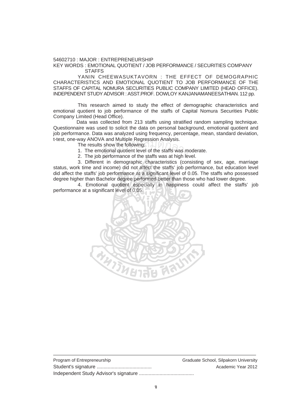54602710 : MAJOR : ENTREPRENEURSHIP

KEY WORDS : EMOTIONAL QUOTIENT / JOB PERFORMANCE / SECURITIES COMPANY **STAFFS** 

YANIN CHEEWASUKTAVORN : THE EFFECT OF DEMOGRAPHIC CHARACTERISTICS AND EMOTIONAL QUOTIENT TO JOB PERFORMANCE OF THE STAFFS OF CAPITAL NOMURA SECURITIES PUBLIC COMPANY LIMITED (HEAD OFFICE). INDEPENDENT STUDY ADVISOR : ASST.PROF. DOWLOY KANJANAMANEESATHIAN. 112 pp.

 This research aimed to study the effect of demographic characteristics and emotional quotient to job performance of the staffs of Capital Nomura Securities Public Company Limited (Head Office).

 Data was collected from 213 staffs using stratified random sampling technique. Questionnaire was used to solicit the data on personal background, emotional quotient and job performance. Data was analyzed using frequency, percentage, mean, standard deviation, t-test, one-way ANOVA and Multiple Regression Analysis.

The results show the following:

- 1. The emotional quotient level of the staffs was moderate.
- 2. The job performance of the staffs was at high level. A and womple regression Analysis.<br>
In the following:<br>
Show the following:<br>
The staffs was at high left of the staffs was at high left

 3. Different in demographic characteristics (consisting of sex, age, marriage status, work time and income) did not affect the staffs' job performance, but education level did affect the staffs' job performance at a significant level of 0.05. The staffs who possessed degree higher than Bachelor degree performed better than those who had lower degree.

 4. Emotional quotient especially in happiness could affect the staffs' job performance at a significant level of 0.05.



| Program of Entrepreneurship | Graduate School, Silpakorn University |
|-----------------------------|---------------------------------------|
|                             | Academic Year 2012                    |
|                             |                                       |